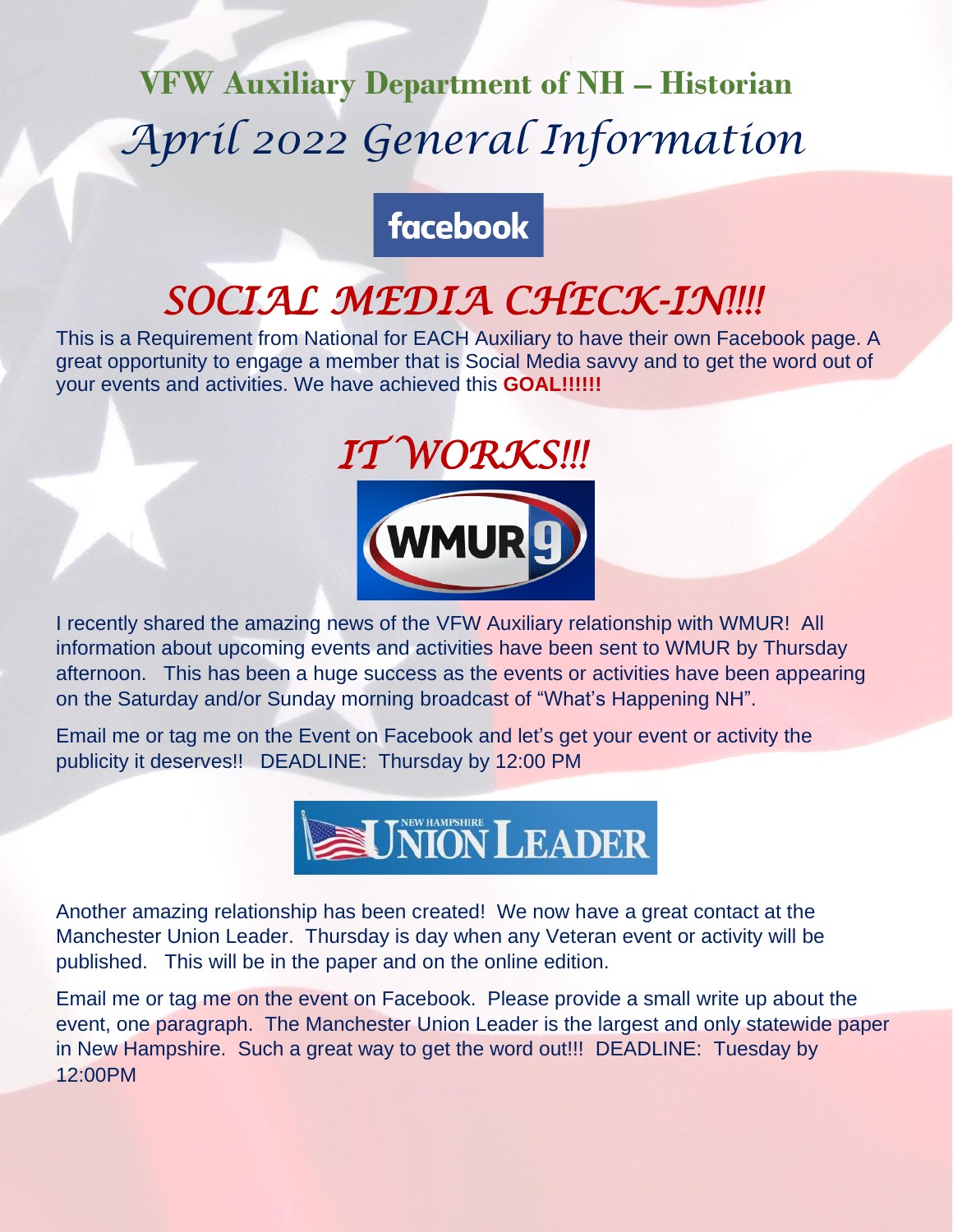# **VFW Auxiliary Department of NH – Historian** *April 2022 General Information*

#### **facebook**

## *SOCIAL MEDIA CHECK-IN!!!!*

This is a Requirement from National for EACH Auxiliary to have their own Facebook page. A great opportunity to engage a member that is Social Media savvy and to get the word out of your events and activities. We have achieved this **GOAL!!!!!!**



I recently shared the amazing news of the VFW Auxiliary relationship with WMUR! All information about upcoming events and activities have been sent to WMUR by Thursday afternoon. This has been a huge success as the events or activities have been appearing on the Saturday and/or Sunday morning broadcast of "What's Happening NH".

Email me or tag me on the Event on Facebook and let's get your event or activity the publicity it deserves!! DEADLINE: Thursday by 12:00 PM



Another amazing relationship has been created! We now have a great contact at the Manchester Union Leader. Thursday is day when any Veteran event or activity will be published. This will be in the paper and on the online edition.

Email me or tag me on the event on Facebook. Please provide a small write up about the event, one paragraph. The Manchester Union Leader is the largest and only statewide paper in New Hampshire. Such a great way to get the word out!!! DEADLINE: Tuesday by 12:00PM